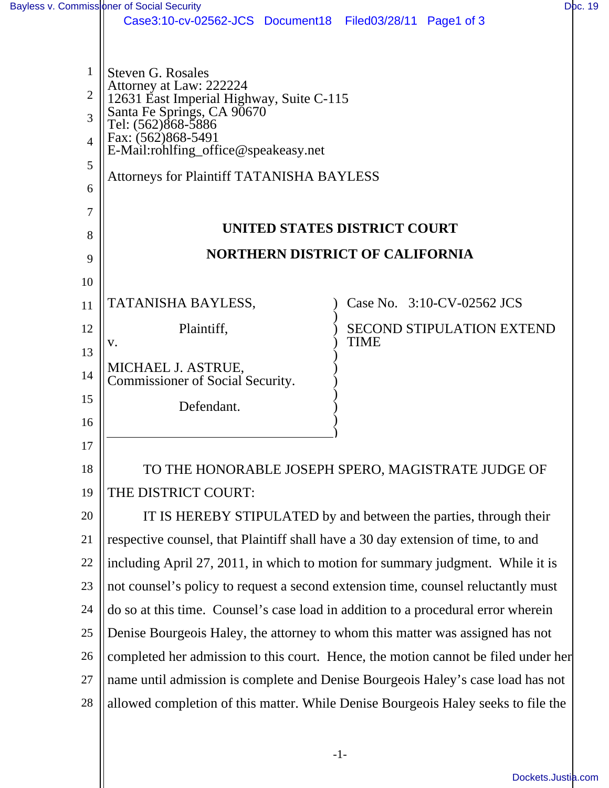|                | Case3:10-cv-02562-JCS Document18 Filed03/28/11 Page1 of 3                          |                                                 |  |
|----------------|------------------------------------------------------------------------------------|-------------------------------------------------|--|
|                |                                                                                    |                                                 |  |
| 1              | <b>Steven G. Rosales</b>                                                           |                                                 |  |
| $\overline{2}$ | Attorney at Law: 222224<br>12631 East Imperial Highway, Suite C-115                |                                                 |  |
| 3              | Santa Fe Springs, CA 90670<br>Tel: (562)868-5886                                   |                                                 |  |
| $\overline{4}$ | Fax: (562)868-5491<br>E-Mail:rohlfing_office@speakeasy.net                         |                                                 |  |
| 5              | <b>Attorneys for Plaintiff TATANISHA BAYLESS</b>                                   |                                                 |  |
| 6              |                                                                                    |                                                 |  |
| 7              |                                                                                    |                                                 |  |
| 8              | UNITED STATES DISTRICT COURT                                                       |                                                 |  |
| 9              | <b>NORTHERN DISTRICT OF CALIFORNIA</b>                                             |                                                 |  |
| 10             |                                                                                    |                                                 |  |
| 11             | TATANISHA BAYLESS,                                                                 | Case No. 3:10-CV-02562 JCS                      |  |
| 12             | Plaintiff,                                                                         | <b>SECOND STIPULATION EXTEND</b><br><b>TIME</b> |  |
| 13             | V.                                                                                 |                                                 |  |
| 14             | MICHAEL J. ASTRUE,<br>Commissioner of Social Security.                             |                                                 |  |
| 15             | Defendant.                                                                         |                                                 |  |
| 16             |                                                                                    |                                                 |  |
| 17             |                                                                                    |                                                 |  |
| 18             | TO THE HONORABLE JOSEPH SPERO, MAGISTRATE JUDGE OF                                 |                                                 |  |
| 19             | THE DISTRICT COURT:                                                                |                                                 |  |
| 20             | IT IS HEREBY STIPULATED by and between the parties, through their                  |                                                 |  |
| 21             | respective counsel, that Plaintiff shall have a 30 day extension of time, to and   |                                                 |  |
| 22             | including April 27, 2011, in which to motion for summary judgment. While it is     |                                                 |  |
| 23             | not counsel's policy to request a second extension time, counsel reluctantly must  |                                                 |  |
| 24             | do so at this time. Counsel's case load in addition to a procedural error wherein  |                                                 |  |
| 25             | Denise Bourgeois Haley, the attorney to whom this matter was assigned has not      |                                                 |  |
| 26             | completed her admission to this court. Hence, the motion cannot be filed under her |                                                 |  |
| 27             | name until admission is complete and Denise Bourgeois Haley's case load has not    |                                                 |  |
| 28             | allowed completion of this matter. While Denise Bourgeois Haley seeks to file the  |                                                 |  |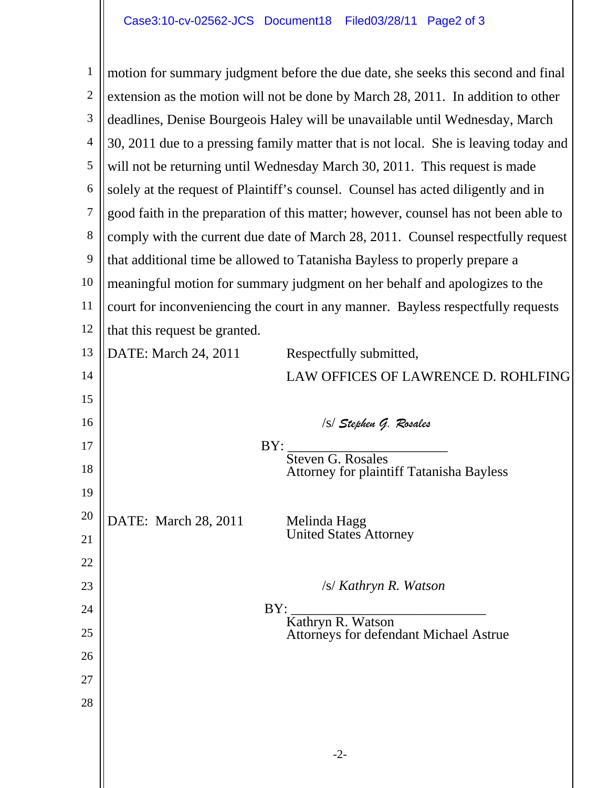1 2 3 4 5 6 7 8 9 10 11 12 13 14 15 16 17 18 19 20 21 22 23 24 25 26 27 28 motion for summary judgment before the due date, she seeks this second and final extension as the motion will not be done by March 28, 2011. In addition to other deadlines, Denise Bourgeois Haley will be unavailable until Wednesday, March 30, 2011 due to a pressing family matter that is not local. She is leaving today and will not be returning until Wednesday March 30, 2011. This request is made solely at the request of Plaintiff's counsel. Counsel has acted diligently and in good faith in the preparation of this matter; however, counsel has not been able to comply with the current due date of March 28, 2011. Counsel respectfully request that additional time be allowed to Tatanisha Bayless to properly prepare a meaningful motion for summary judgment on her behalf and apologizes to the court for inconveniencing the court in any manner. Bayless respectfully requests that this request be granted. DATE: March 24, 2011 Respectfully submitted, LAW OFFICES OF LAWRENCE D. ROHLFING /s/ *Stephen G. Rosales* BY:<br>
Steven G. Rosales<br>
Attorney for plaintiff Tatanisha Bayless DATE: March 28, 2011 Melinda Hagg<br>United States Attorney /s/ *Kathryn R. Watson* BY: \_\_\_\_\_\_\_\_\_\_\_\_\_\_\_\_\_\_\_\_\_\_\_\_\_\_\_\_ Kathryn R. Watson Attorneys for defendant Michael Astrue